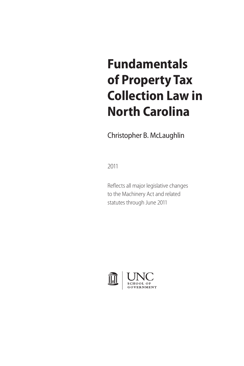# **Fundamentals of Property Tax Collection Law in North Carolina**

Christopher B. McLaughlin

2011

Reflects all major legislative changes to the Machinery Act and related statutes through June 2011

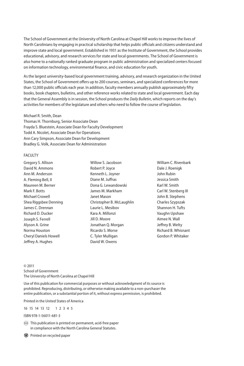The School of Government at the University of North Carolina at Chapel Hill works to improve the lives of North Carolinians by engaging in practical scholarship that helps public officials and citizens understand and improve state and local government. Established in 1931 as the Institute of Government, the School provides educational, advisory, and research services for state and local governments. The School of Government is also home to a nationally ranked graduate program in public administration and specialized centers focused on information technology, environmental finance, and civic education for youth.

As the largest university-based local government training, advisory, and research organization in the United States, the School of Government offers up to 200 courses, seminars, and specialized conferences for more than 12,000 public officials each year. In addition, faculty members annually publish approximately fifty books, book chapters, bulletins, and other reference works related to state and local government. Each day that the General Assembly is in session, the School produces the *Daily Bulletin*, which reports on the day's activities for members of the legislature and others who need to follow the course of legislation.

#### Michael R. Smith, Dean

Thomas H. Thornburg, Senior Associate Dean Frayda S. Bluestein, Associate Dean for Faculty Development Todd A. Nicolet, Associate Dean for Operations Ann Cary Simpson, Associate Dean for Development Bradley G. Volk, Associate Dean for Administration

#### FACULTY

Gregory S. Allison David N. Ammons Ann M. Anderson A. Fleming Bell, II Maureen M. Berner Mark F. Botts Michael Crowell Shea Riggsbee Denning James C. Drennan Richard D. Ducker Joseph S. Ferrell Alyson A. Grine Norma Houston Cheryl Daniels Howell Jeffrey A. Hughes

Willow S. Jacobson Robert P. Joyce Kenneth L. Joyner Diane M. Juffras Dona G. Lewandowski James M. Markham Janet Mason Christopher B. McLaughlin Laurie L. Mesibov Kara A. Millonzi Jill D. Moore Jonathan Q. Morgan Ricardo S. Morse C. Tyler Mulligan David W. Owens

William C. Rivenbark Dale J. Roenigk John Rubin Jessica Smith Karl W. Smith Carl W. Stenberg III John B. Stephens Charles Szypszak Shannon H. Tufts Vaughn Upshaw Aimee N. Wall Jeffrey B. Welty Richard B. Whisnant Gordon P. Whitaker

© 2011 School of Government The University of North Carolina at Chapel Hill

Use of this publication for commercial purposes or without acknowledgment of its source is prohibited. Reproducing, distributing, or otherwise making available to a non-purchaser the entire publication, or a substantial portion of it, without express permission, is prohibited.

Printed in the United States of America

16 15 14 13 12 1 2 3 4 5

ISBN 978-1-56011-681-3

 $\otimes$  This publication is printed on permanent, acid-free paper in compliance with the North Carolina General Statutes.

Printed on recycled paper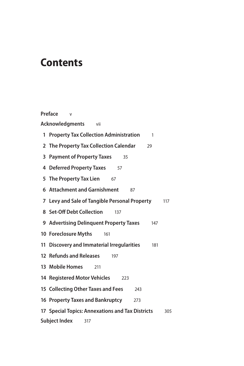### **Contents**

**Preface** v **Acknowledgments** vii **Property Tax Collection Administration** 1 **The Property Tax Collection Calendar** 29 **Payment of Property Taxes** 35 **Deferred Property Taxes** 57 **The Property Tax Lien** 67 **Attachment and Garnishment** 87 **Levy and Sale of Tangible Personal Property** 117 **Set-Off Debt Collection** 137 **Advertising Delinquent Property Taxes** 147 **Foreclosure Myths** 161 **Discovery and Immaterial Irregularities** 181 **Refunds and Releases** 197 **Mobile Homes** 211 **Registered Motor Vehicles** 223 **Collecting Other Taxes and Fees** 243 **Property Taxes and Bankruptcy** 273 **Special Topics: Annexations and Tax Districts** 305 **Subject Index** 317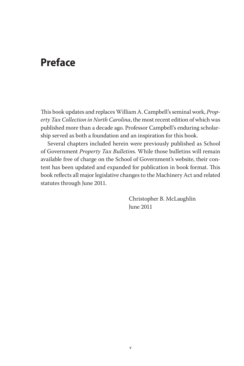### **Preface**

This book updates and replaces William A. Campbell's seminal work, *Property Tax Collection in North Carolina*, the most recent edition of which was published more than a decade ago. Professor Campbell's enduring scholarship served as both a foundation and an inspiration for this book.

Several chapters included herein were previously published as School of Government *Property Tax Bulletin*s. While those bulletins will remain available free of charge on the School of Government's website, their content has been updated and expanded for publication in book format. This book reflects all major legislative changes to the Machinery Act and related statutes through June 2011.

> Christopher B. McLaughlin June 2011